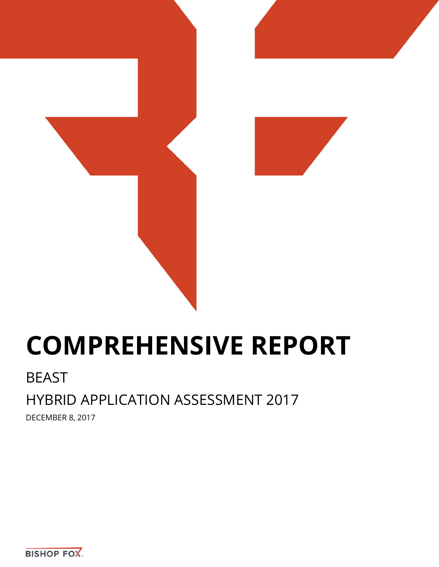

# **COMPREHENSIVE REPORT**

# BEAST

# HYBRID APPLICATION ASSESSMENT 2017

DECEMBER 8, 2017

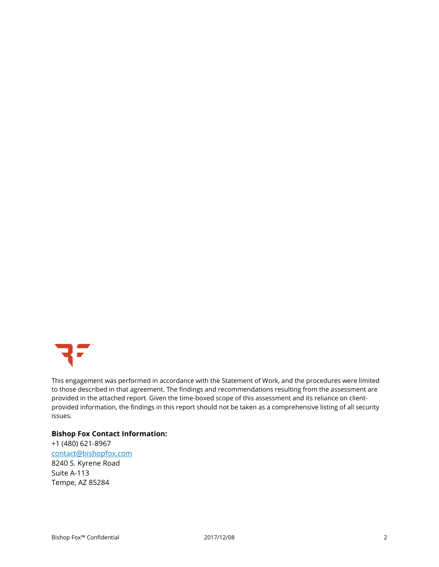

This engagement was performed in accordance with the Statement of Work, and the procedures were limited to those described in that agreement. The findings and recommendations resulting from the assessment are provided in the attached report. Given the time-boxed scope of this assessment and its reliance on clientprovided information, the findings in this report should not be taken as a comprehensive listing of all security issues.

#### **Bishop Fox Contact Information:**

+1 (480) 621-8967 [contact@bishopfox.com](mailto:contact@bishopfox.com) 8240 S. Kyrene Road Suite A-113 Tempe, AZ 85284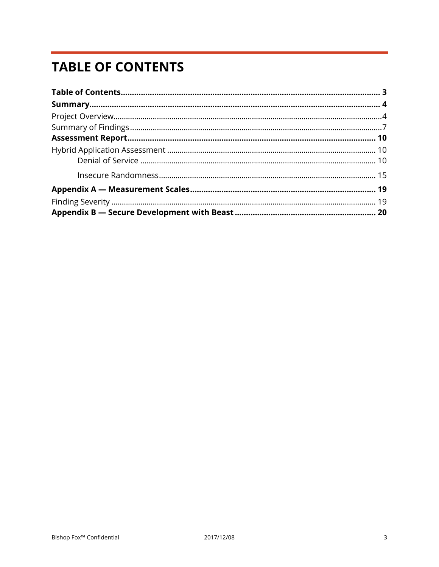# <span id="page-2-0"></span>**TABLE OF CONTENTS**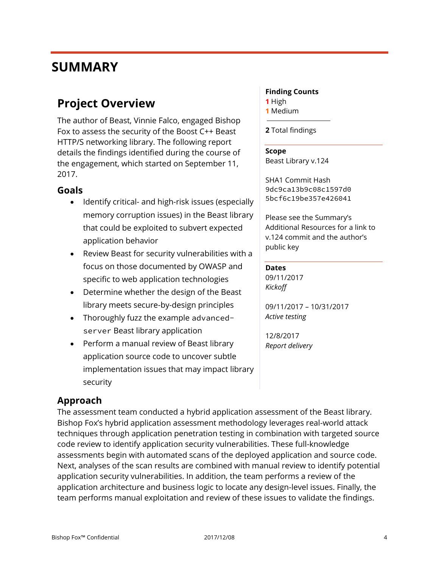# <span id="page-3-0"></span>**SUMMARY**

# <span id="page-3-1"></span>**Project Overview**

The author of Beast, Vinnie Falco, engaged Bishop Fox to assess the security of the Boost C++ Beast HTTP/S networking library. The following report details the findings identified during the course of the engagement, which started on September 11, 2017.

### **Goals**

- Identify critical- and high-risk issues (especially memory corruption issues) in the Beast library that could be exploited to subvert expected application behavior
- Review Beast for security vulnerabilities with a focus on those documented by OWASP and specific to web application technologies
- Determine whether the design of the Beast library meets secure-by-design principles
- Thoroughly fuzz the example advancedserver Beast library application
- Perform a manual review of Beast library application source code to uncover subtle implementation issues that may impact library security

## **Approach**

The assessment team conducted a hybrid application assessment of the Beast library. Bishop Fox's hybrid application assessment methodology leverages real-world attack techniques through application penetration testing in combination with targeted source code review to identify application security vulnerabilities. These full-knowledge assessments begin with automated scans of the deployed application and source code. Next, analyses of the scan results are combined with manual review to identify potential application security vulnerabilities. In addition, the team performs a review of the application architecture and business logic to locate any design-level issues. Finally, the team performs manual exploitation and review of these issues to validate the findings.

#### **Finding Counts**

- **1** High
- **1** Medium

**2** Total findings

#### **Scope**

Beast Library v.124

SHA1 Commit Hash 9dc9ca13b9c08c1597d0 5bcf6c19be357e426041

Please see the Summary's Additional Resources for a link to v.124 commit and the author's public key

#### **Dates**

09/11/2017 *Kickoff*

09/11/2017 – 10/31/2017 *Active testing*

12/8/2017 *Report delivery*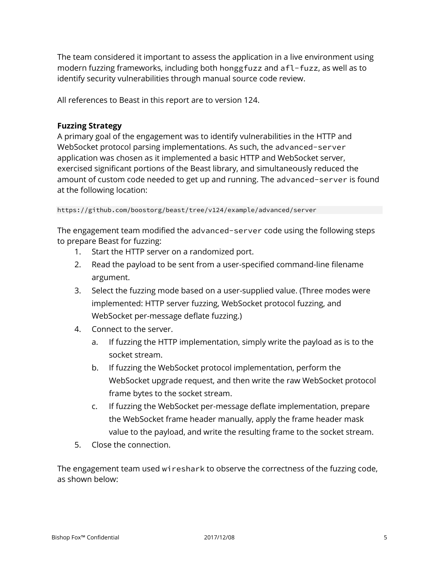The team considered it important to assess the application in a live environment using modern fuzzing frameworks, including both honggfuzz and afl-fuzz, as well as to identify security vulnerabilities through manual source code review.

All references to Beast in this report are to version 124.

#### **Fuzzing Strategy**

A primary goal of the engagement was to identify vulnerabilities in the HTTP and WebSocket protocol parsing implementations. As such, the advanced-server application was chosen as it implemented a basic HTTP and WebSocket server, exercised significant portions of the Beast library, and simultaneously reduced the amount of custom code needed to get up and running. The advanced-server is found at the following location:

https://github.com/boostorg/beast/tree/v124/example/advanced/server

The engagement team modified the advanced-server code using the following steps to prepare Beast for fuzzing:

- 1. Start the HTTP server on a randomized port.
- 2. Read the payload to be sent from a user-specified command-line filename argument.
- 3. Select the fuzzing mode based on a user-supplied value. (Three modes were implemented: HTTP server fuzzing, WebSocket protocol fuzzing, and WebSocket per-message deflate fuzzing.)
- 4. Connect to the server.
	- a. If fuzzing the HTTP implementation, simply write the payload as is to the socket stream.
	- b. If fuzzing the WebSocket protocol implementation, perform the WebSocket upgrade request, and then write the raw WebSocket protocol frame bytes to the socket stream.
	- c. If fuzzing the WebSocket per-message deflate implementation, prepare the WebSocket frame header manually, apply the frame header mask value to the payload, and write the resulting frame to the socket stream.
- 5. Close the connection.

The engagement team used wireshark to observe the correctness of the fuzzing code, as shown below: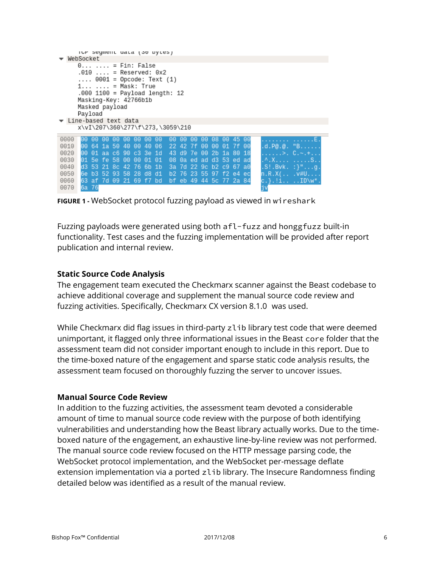|      |                                                                                                                                                                  |                         |                   |      |      |             | ivr seyment uata (ow bytes) |                                                                                                        |          |             |       |       |                         |          |     |                     |
|------|------------------------------------------------------------------------------------------------------------------------------------------------------------------|-------------------------|-------------------|------|------|-------------|-----------------------------|--------------------------------------------------------------------------------------------------------|----------|-------------|-------|-------|-------------------------|----------|-----|---------------------|
|      | WebSocket                                                                                                                                                        |                         |                   |      |      |             |                             |                                                                                                        |          |             |       |       |                         |          |     |                     |
|      | $0 \ldots = Fin: False$<br>.010  = Reserved: 0x2<br>$1 \ldots \ldots =$ Mask: True<br>Masking-Key: 42766b1b<br>Masked payload<br>Payload<br>Line-based text data |                         |                   |      |      |             |                             | $\ldots$ 0001 = Opcode: Text (1)<br>.000 1100 = Payload length: 12<br>x\vI\207\360\277\f\273,\3059\210 |          |             |       |       |                         |          |     |                     |
| 0000 | 00                                                                                                                                                               | - 00                    | - 00-             | -00. | -00. | 00 00       | -00                         | 00 00                                                                                                  |          | 00          | -00.  | 08 00 |                         | 45 00    |     | . E.                |
| 0010 |                                                                                                                                                                  | 00 64                   | 1a 50             |      | 40   | 00 40       | -06                         |                                                                                                        | 22 42 7f |             | -00   | 00    |                         | 01 7f 00 |     | .d.P@.@. "B         |
| 0020 | 00.                                                                                                                                                              | -01                     | aa c6 90 c3 3e 1d |      |      |             |                             |                                                                                                        |          |             |       |       | 43 d9 7e 00 2b 1a 80 18 |          |     | .>.  C.~.+.         |
| 0030 |                                                                                                                                                                  | 01 5e fe 58 00 00 01 01 |                   |      |      |             |                             |                                                                                                        |          |             |       |       | 08 0a ed ad d3 53 ed ad |          |     | . ^ . X S           |
| 0040 |                                                                                                                                                                  | d3 53 21 8c             |                   |      |      | 42 76 6b 1b |                             |                                                                                                        |          |             |       |       | 3a 7d 22 9c b2 c9 67    |          | -a0 | $.S!.Bvk.$ : $}$ g. |
| 0050 |                                                                                                                                                                  | 6e b3 52 93             |                   |      |      | 58 28 d8    | d1                          | b <sub>2</sub> 76                                                                                      |          |             | 23 55 |       | 97 f2 e4                |          | ec  | $n.R.X($ $v#U$      |
| 0060 |                                                                                                                                                                  | 63 af 7d 09 21 69 f7 bd |                   |      |      |             |                             |                                                                                                        |          | bf eb 49 44 |       | 5c 77 |                         | -2a 84   |     | c.}.!i ID\w*.       |
| 0070 |                                                                                                                                                                  | 6a 76                   |                   |      |      |             |                             |                                                                                                        |          |             |       |       |                         |          |     | j٧                  |

**FIGURE 1 -** WebSocket protocol fuzzing payload as viewed in wireshark

Fuzzing payloads were generated using both afl-fuzz and honggfuzz built-in functionality. Test cases and the fuzzing implementation will be provided after report publication and internal review.

### **Static Source Code Analysis**

The engagement team executed the Checkmarx scanner against the Beast codebase to achieve additional coverage and supplement the manual source code review and fuzzing activities. Specifically, Checkmarx CX version 8.1.0 was used.

While Checkmarx did flag issues in third-party zlib library test code that were deemed unimportant, it flagged only three informational issues in the Beast core folder that the assessment team did not consider important enough to include in this report. Due to the time-boxed nature of the engagement and sparse static code analysis results, the assessment team focused on thoroughly fuzzing the server to uncover issues.

#### **Manual Source Code Review**

In addition to the fuzzing activities, the assessment team devoted a considerable amount of time to manual source code review with the purpose of both identifying vulnerabilities and understanding how the Beast library actually works. Due to the timeboxed nature of the engagement, an exhaustive line-by-line review was not performed. The manual source code review focused on the HTTP message parsing code, the WebSocket protocol implementation, and the WebSocket per-message deflate extension implementation via a ported zlib library. The Insecure Randomness finding detailed below was identified as a result of the manual review.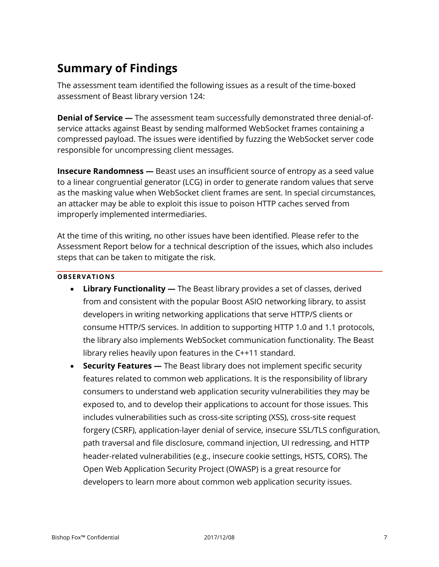# <span id="page-6-0"></span>**Summary of Findings**

The assessment team identified the following issues as a result of the time-boxed assessment of Beast library version 124:

**Denial of Service —** The assessment team successfully demonstrated three denial-ofservice attacks against Beast by sending malformed WebSocket frames containing a compressed payload. The issues were identified by fuzzing the WebSocket server code responsible for uncompressing client messages.

**Insecure Randomness —** Beast uses an insufficient source of entropy as a seed value to a linear congruential generator (LCG) in order to generate random values that serve as the masking value when WebSocket client frames are sent. In special circumstances, an attacker may be able to exploit this issue to poison HTTP caches served from improperly implemented intermediaries.

At the time of this writing, no other issues have been identified. Please refer to the Assessment Report below for a technical description of the issues, which also includes steps that can be taken to mitigate the risk.

#### **OBSERVATIONS**

- **Library Functionality —** The Beast library provides a set of classes, derived from and consistent with the popular Boost ASIO networking library, to assist developers in writing networking applications that serve HTTP/S clients or consume HTTP/S services. In addition to supporting HTTP 1.0 and 1.1 protocols, the library also implements WebSocket communication functionality. The Beast library relies heavily upon features in the C++11 standard.
- **Security Features —** The Beast library does not implement specific security features related to common web applications. It is the responsibility of library consumers to understand web application security vulnerabilities they may be exposed to, and to develop their applications to account for those issues. This includes vulnerabilities such as cross-site scripting (XSS), cross-site request forgery (CSRF), application-layer denial of service, insecure SSL/TLS configuration, path traversal and file disclosure, command injection, UI redressing, and HTTP header-related vulnerabilities (e.g., insecure cookie settings, HSTS, CORS). The Open Web Application Security Project (OWASP) is a great resource for developers to learn more about common web application security issues.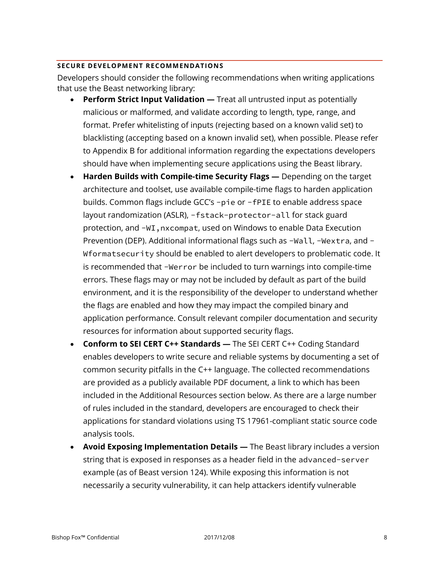#### **SECURE DEVELOPMENT RECOMMENDATIONS**

Developers should consider the following recommendations when writing applications that use the Beast networking library:

- **Perform Strict Input Validation —** Treat all untrusted input as potentially malicious or malformed, and validate according to length, type, range, and format. Prefer whitelisting of inputs (rejecting based on a known valid set) to blacklisting (accepting based on a known invalid set), when possible. Please refer to Appendix B for additional information regarding the expectations developers should have when implementing secure applications using the Beast library.
- **Harden Builds with Compile-time Security Flags —** Depending on the target architecture and toolset, use available compile-time flags to harden application builds. Common flags include GCC's -pie or -fPIE to enable address space layout randomization (ASLR), -fstack-protector-all for stack guard protection, and -WI, nxcompat, used on Windows to enable Data Execution Prevention (DEP). Additional informational flags such as -Wall, -Wextra, and - Wformatsecurity should be enabled to alert developers to problematic code. It is recommended that -Werror be included to turn warnings into compile-time errors. These flags may or may not be included by default as part of the build environment, and it is the responsibility of the developer to understand whether the flags are enabled and how they may impact the compiled binary and application performance. Consult relevant compiler documentation and security resources for information about supported security flags.
- **Conform to SEI CERT C++ Standards —** The SEI CERT C++ Coding Standard enables developers to write secure and reliable systems by documenting a set of common security pitfalls in the C++ language. The collected recommendations are provided as a publicly available PDF document, a link to which has been included in the Additional Resources section below. As there are a large number of rules included in the standard, developers are encouraged to check their applications for standard violations using TS 17961-compliant static source code analysis tools.
- **Avoid Exposing Implementation Details —** The Beast library includes a version string that is exposed in responses as a header field in the advanced-server example (as of Beast version 124). While exposing this information is not necessarily a security vulnerability, it can help attackers identify vulnerable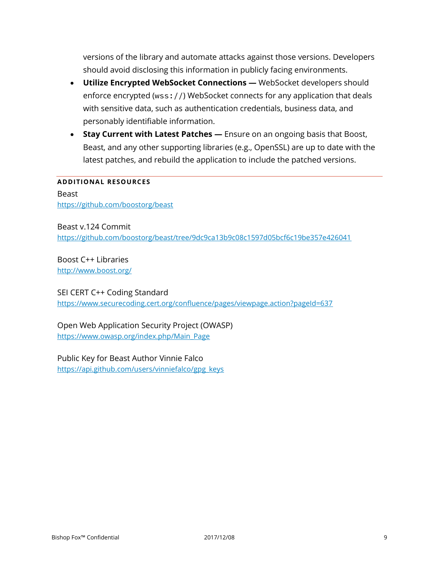versions of the library and automate attacks against those versions. Developers should avoid disclosing this information in publicly facing environments.

- **Utilize Encrypted WebSocket Connections —** WebSocket developers should enforce encrypted (wss://) WebSocket connects for any application that deals with sensitive data, such as authentication credentials, business data, and personably identifiable information.
- **Stay Current with Latest Patches —** Ensure on an ongoing basis that Boost, Beast, and any other supporting libraries (e.g., OpenSSL) are up to date with the latest patches, and rebuild the application to include the patched versions.

#### **ADDITIONAL RESOURCES**

Beast https://github.com/boostorg/beast

Beast v.124 Commit https://github.com/boostorg/beast/tree/9dc9ca13b9c08c1597d05bcf6c19be357e426041

Boost C++ Libraries http://www.boost.org/

#### SEI CERT C++ Coding Standard

https://www.securecoding.cert.org/confluence/pages/viewpage.action?pageId=637

Open Web Application Security Project (OWASP) https://www.owasp.org/index.php/Main\_Page

Public Key for Beast Author Vinnie Falco https://api.github.com/users/vinniefalco/gpg\_keys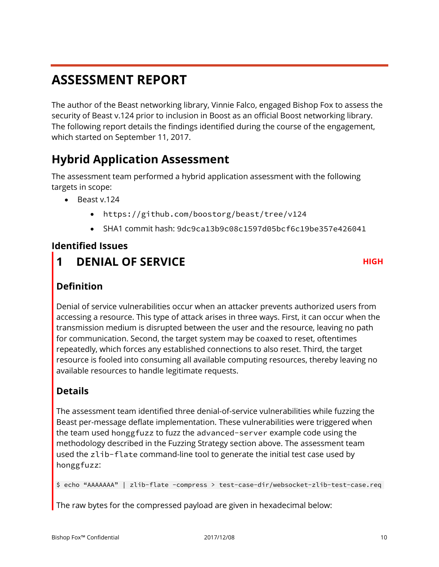# <span id="page-9-0"></span>**ASSESSMENT REPORT**

The author of the Beast networking library, Vinnie Falco, engaged Bishop Fox to assess the security of Beast v.124 prior to inclusion in Boost as an official Boost networking library. The following report details the findings identified during the course of the engagement, which started on September 11, 2017.

# <span id="page-9-1"></span>**Hybrid Application Assessment**

The assessment team performed a hybrid application assessment with the following targets in scope:

- Beast v.124
	- https://github.com/boostorg/beast/tree/v124
	- SHA1 commit hash: 9dc9ca13b9c08c1597d05bcf6c19be357e426041

## **Identified Issues**

<span id="page-9-2"></span>**1 DENIAL OF SERVICE HIGH** 

# **Definition**

Denial of service vulnerabilities occur when an attacker prevents authorized users from accessing a resource. This type of attack arises in three ways. First, it can occur when the transmission medium is disrupted between the user and the resource, leaving no path for communication. Second, the target system may be coaxed to reset, oftentimes repeatedly, which forces any established connections to also reset. Third, the target resource is fooled into consuming all available computing resources, thereby leaving no available resources to handle legitimate requests.

# **Details**

The assessment team identified three denial-of-service vulnerabilities while fuzzing the Beast per-message deflate implementation. These vulnerabilities were triggered when the team used honggfuzz to fuzz the advanced-server example code using the methodology described in the Fuzzing Strategy section above. The assessment team used the zlib-flate command-line tool to generate the initial test case used by honggfuzz:

\$ echo "AAAAAAA" | zlib-flate -compress > test-case-dir/websocket-zlib-test-case.req

The raw bytes for the compressed payload are given in hexadecimal below: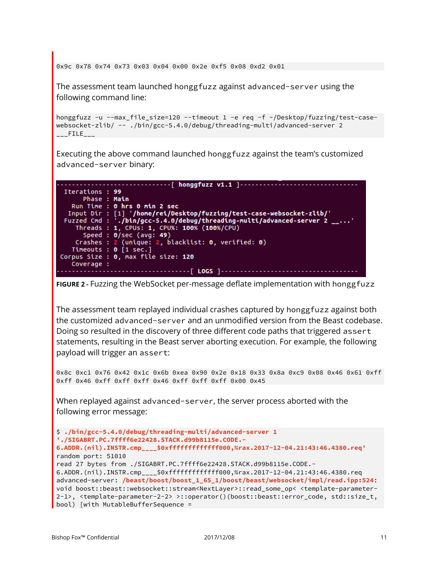0x9c 0x78 0x74 0x73 0x03 0x04 0x00 0x2e 0xf5 0x08 0xd2 0x01

The assessment team launched honggfuzz against advanced-server using the following command line:

```
honggfuzz -u --max_file_size=120 --timeout 1 -e req -f ~/Desktop/fuzzing/test-case-
websocket-zlib/ -- ./bin/gcc-5.4.0/debug/threading-multi/advanced-server 2 
\overline{\phantom{a}---}FILE\overline{\phantom{a}---}
```
Executing the above command launched honggfuzz against the team's customized advanced-server binary:



```
FIGURE 2 - Fuzzing the WebSocket per-message deflate implementation with honggfuzz
```
The assessment team replayed individual crashes captured by honggfuzz against both the customized advanced-server and an unmodified version from the Beast codebase. Doing so resulted in the discovery of three different code paths that triggered assert statements, resulting in the Beast server aborting execution. For example, the following payload will trigger an assert:

0x8c 0xc1 0x76 0x42 0x1c 0x6b 0xea 0x90 0x2e 0x18 0x33 0x8a 0xc9 0x08 0x46 0x61 0xff 0xff 0x46 0xff 0xff 0xff 0x46 0xff 0xff 0xff 0x00 0x45

When replayed against advanced-server, the server process aborted with the following error message:

```
$ ./bin/gcc-5.4.0/debug/threading-multi/advanced-server 1 
'./SIGABRT.PC.7ffff6e22428.STACK.d99b8115e.CODE.-
6.ADDR.(nil).INSTR.cmp____$0xfffffffffffff000,%rax.2017-12-04.21:43:46.4380.req'
random port: 51010
read 27 bytes from ./SIGABRT.PC.7ffff6e22428.STACK.d99b8115e.CODE.-
6.ADDR.(nil).INSTR.cmp____$0xfffffffffffff000,%rax.2017-12-04.21:43:46.4380.req
advanced-server: /beast/boost/boost_1_65_1/boost/beast/websocket/impl/read.ipp:524: 
void boost::beast::websocket::stream<NextLayer>::read_some_op< <template-parameter-
2-1>, <template-parameter-2-2> >::operator()(boost::beast::error_code, std::size_t, 
bool) [with MutableBufferSequence =
```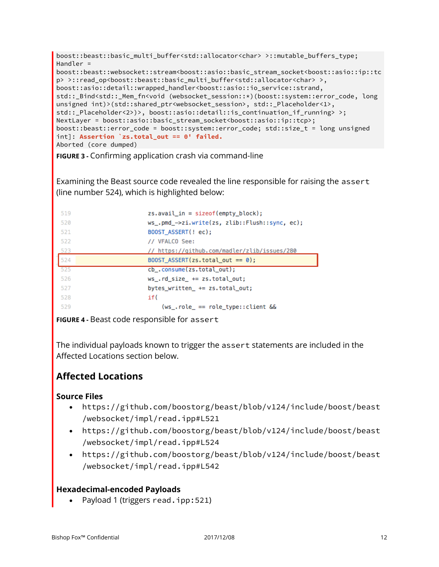```
boost::beast::basic_multi_buffer<std::allocator<char> >::mutable_buffers_type; 
Handler = 
boost::beast::websocket::stream<boost::asio::basic_stream_socket<boost::asio::ip::tc
p> >::read_op<boost::beast::basic_multi_buffer<std::allocator<char> >,
boost::asio::detail::wrapped_handler<boost::asio::io_service::strand, 
std::_Bind<std::_Mem_fn<void (websocket_session::*)(boost::system::error_code, long 
unsigned int)>(std::shared ptr<websocket session>, std:: Placeholder<1>,
std::_Placeholder<2>)>, boost::asio::detail::is_continuation_if_running> >; 
NextLayer = boost::asio::basic_stream_socket<boost::asio::ip::tcp>; 
boost::beast::error_code = boost::system::error_code; std::size_t = long unsigned 
int]: Assertion `zs.total_out == 0' failed.
Aborted (core dumped)
```
**FIGURE 3 -** Confirming application crash via command-line

Examining the Beast source code revealed the line responsible for raising the assert (line number 524), which is highlighted below:

| 519 | $zs.$ avail in = $sizeof(empty block);$        |
|-----|------------------------------------------------|
| 520 | ws_.pmd_->zi.write(zs, zlib::Flush::sync, ec); |
| 521 | BOOST ASSERT(! ec);                            |
| 522 | // VFALCO See:                                 |
| 523 | // https://github.com/madler/zlib/issues/280   |
| 524 | BOOST ASSERT(zs.total_out == $0$ );            |
| 525 | cb_.consume(zs.total_out);                     |
| 526 | $ws$ .rd size $+=$ zs.total out;               |
| 527 | bytes_written_ += zs.total_out;                |
| 528 | if (                                           |
| 529 | $(ws_$ .role_ == role_type::client $&$         |

**FIGURE 4 -** Beast code responsible for assert

The individual payloads known to trigger the assert statements are included in the Affected Locations section below.

# **Affected Locations**

### **Source Files**

- https://github.com/boostorg/beast/blob/v124/include/boost/beast /websocket/impl/read.ipp#L521
- https://github.com/boostorg/beast/blob/v124/include/boost/beast /websocket/impl/read.ipp#L524
- https://github.com/boostorg/beast/blob/v124/include/boost/beast /websocket/impl/read.ipp#L542

### **Hexadecimal-encoded Payloads**

Payload 1 (triggers read.ipp:521)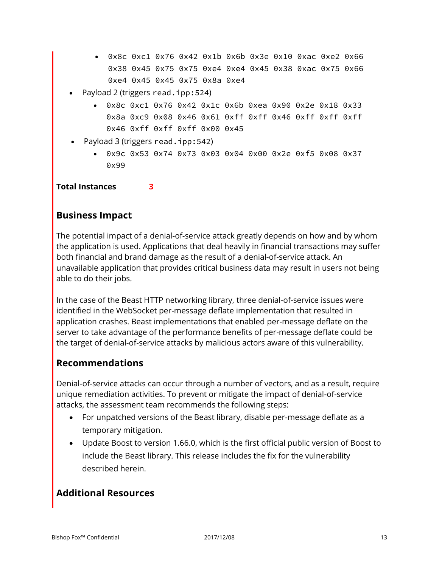- 0x8c 0xc1 0x76 0x42 0x1b 0x6b 0x3e 0x10 0xac 0xe2 0x66 0x38 0x45 0x75 0x75 0xe4 0xe4 0x45 0x38 0xac 0x75 0x66 0xe4 0x45 0x45 0x75 0x8a 0xe4
- Payload 2 (triggers read.ipp:524)
	- 0x8c 0xc1 0x76 0x42 0x1c 0x6b 0xea 0x90 0x2e 0x18 0x33 0x8a 0xc9 0x08 0x46 0x61 0xff 0xff 0x46 0xff 0xff 0xff 0x46 0xff 0xff 0xff 0x00 0x45
- Payload 3 (triggers read.ipp:542)
	- 0x9c 0x53 0x74 0x73 0x03 0x04 0x00 0x2e 0xf5 0x08 0x37 0x99

**Total Instances 3**

## **Business Impact**

The potential impact of a denial-of-service attack greatly depends on how and by whom the application is used. Applications that deal heavily in financial transactions may suffer both financial and brand damage as the result of a denial-of-service attack. An unavailable application that provides critical business data may result in users not being able to do their jobs.

In the case of the Beast HTTP networking library, three denial-of-service issues were identified in the WebSocket per-message deflate implementation that resulted in application crashes. Beast implementations that enabled per-message deflate on the server to take advantage of the performance benefits of per-message deflate could be the target of denial-of-service attacks by malicious actors aware of this vulnerability.

## **Recommendations**

Denial-of-service attacks can occur through a number of vectors, and as a result, require unique remediation activities. To prevent or mitigate the impact of denial-of-service attacks, the assessment team recommends the following steps:

- For unpatched versions of the Beast library, disable per-message deflate as a temporary mitigation.
- Update Boost to version 1.66.0, which is the first official public version of Boost to include the Beast library. This release includes the fix for the vulnerability described herein.

# **Additional Resources**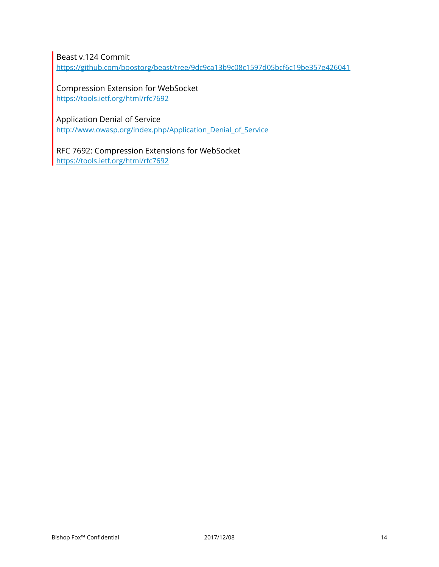Beast v.124 Commit

https://github.com/boostorg/beast/tree/9dc9ca13b9c08c1597d05bcf6c19be357e426041

Compression Extension for WebSocket https://tools.ietf.org/html/rfc7692

Application Denial of Service

http://www.owasp.org/index.php/Application\_Denial\_of\_Service

RFC 7692: Compression Extensions for WebSocket https://tools.ietf.org/html/rfc7692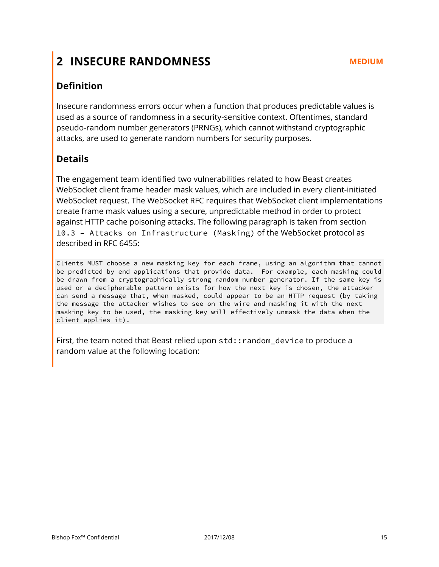# <span id="page-14-0"></span>**2 INSECURE RANDOMNESS MEDIUM**

# **Definition**

Insecure randomness errors occur when a function that produces predictable values is used as a source of randomness in a security-sensitive context. Oftentimes, standard pseudo-random number generators (PRNGs), which cannot withstand cryptographic attacks, are used to generate random numbers for security purposes.

## **Details**

The engagement team identified two vulnerabilities related to how Beast creates WebSocket client frame header mask values, which are included in every client-initiated WebSocket request. The WebSocket RFC requires that WebSocket client implementations create frame mask values using a secure, unpredictable method in order to protect against HTTP cache poisoning attacks. The following paragraph is taken from section 10.3 – Attacks on Infrastructure (Masking) of the WebSocket protocol as described in RFC 6455:

Clients MUST choose a new masking key for each frame, using an algorithm that cannot be predicted by end applications that provide data. For example, each masking could be drawn from a cryptographically strong random number generator. If the same key is used or a decipherable pattern exists for how the next key is chosen, the attacker can send a message that, when masked, could appear to be an HTTP request (by taking the message the attacker wishes to see on the wire and masking it with the next masking key to be used, the masking key will effectively unmask the data when the client applies it).

First, the team noted that Beast relied upon std: : random device to produce a random value at the following location: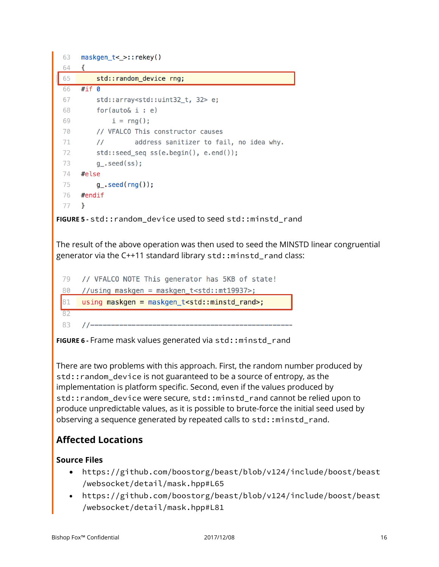

The result of the above operation was then used to seed the MINSTD linear congruential generator via the C++11 standard library std::minstd\_rand class:

|     | 79 // VFALCO NOTE This generator has 5KB of state!               |
|-----|------------------------------------------------------------------|
| 80  | //using maskgen = maskgen_t <std::mt19937>;</std::mt19937>       |
| 81  | using maskgen = maskgen_t <std::minstd_rand>;</std::minstd_rand> |
|     |                                                                  |
| -83 |                                                                  |

**FIGURE 6 -** Frame mask values generated via std::minstd\_rand

There are two problems with this approach. First, the random number produced by std::random\_device is not guaranteed to be a source of entropy, as the implementation is platform specific. Second, even if the values produced by std::random\_device were secure, std::minstd\_rand cannot be relied upon to produce unpredictable values, as it is possible to brute-force the initial seed used by observing a sequence generated by repeated calls to std::minstd\_rand.

# **Affected Locations**

## **Source Files**

- https://github.com/boostorg/beast/blob/v124/include/boost/beast /websocket/detail/mask.hpp#L65
- https://github.com/boostorg/beast/blob/v124/include/boost/beast /websocket/detail/mask.hpp#L81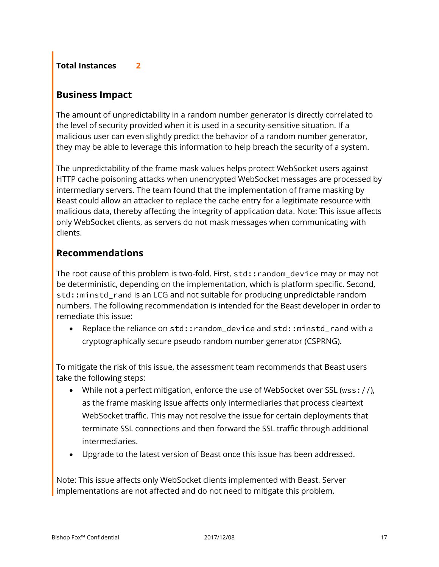## **Total Instances 2**

## **Business Impact**

The amount of unpredictability in a random number generator is directly correlated to the level of security provided when it is used in a security-sensitive situation. If a malicious user can even slightly predict the behavior of a random number generator, they may be able to leverage this information to help breach the security of a system.

The unpredictability of the frame mask values helps protect WebSocket users against HTTP cache poisoning attacks when unencrypted WebSocket messages are processed by intermediary servers. The team found that the implementation of frame masking by Beast could allow an attacker to replace the cache entry for a legitimate resource with malicious data, thereby affecting the integrity of application data. Note: This issue affects only WebSocket clients, as servers do not mask messages when communicating with clients.

## **Recommendations**

The root cause of this problem is two-fold. First, std::random\_device may or may not be deterministic, depending on the implementation, which is platform specific. Second, std::minstd\_rand is an LCG and not suitable for producing unpredictable random numbers. The following recommendation is intended for the Beast developer in order to remediate this issue:

Replace the reliance on std:: random\_device and std:: minstd\_rand with a cryptographically secure pseudo random number generator (CSPRNG).

To mitigate the risk of this issue, the assessment team recommends that Beast users take the following steps:

- While not a perfect mitigation, enforce the use of WebSocket over SSL (wss://), as the frame masking issue affects only intermediaries that process cleartext WebSocket traffic. This may not resolve the issue for certain deployments that terminate SSL connections and then forward the SSL traffic through additional intermediaries.
- Upgrade to the latest version of Beast once this issue has been addressed.

Note: This issue affects only WebSocket clients implemented with Beast. Server implementations are not affected and do not need to mitigate this problem.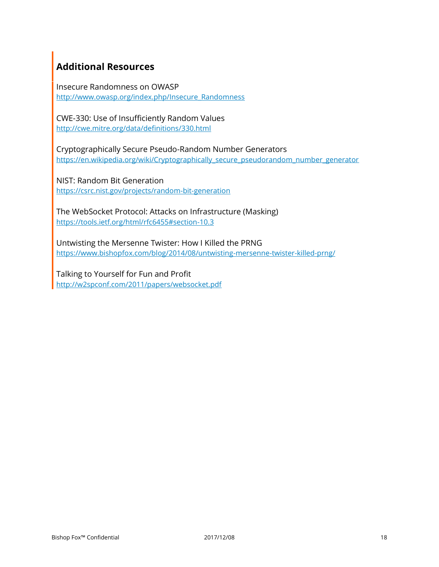# **Additional Resources**

Insecure Randomness on OWASP http://www.owasp.org/index.php/Insecure\_Randomness

CWE-330: Use of Insufficiently Random Values http://cwe.mitre.org/data/definitions/330.html

Cryptographically Secure Pseudo-Random Number Generators https://en.wikipedia.org/wiki/Cryptographically\_secure\_pseudorandom\_number\_generator

NIST: Random Bit Generation https://csrc.nist.gov/projects/random-bit-generation

The WebSocket Protocol: Attacks on Infrastructure (Masking) https://tools.ietf.org/html/rfc6455#section-10.3

Untwisting the Mersenne Twister: How I Killed the PRNG https://www.bishopfox.com/blog/2014/08/untwisting-mersenne-twister-killed-prng/

Talking to Yourself for Fun and Profit http://w2spconf.com/2011/papers/websocket.pdf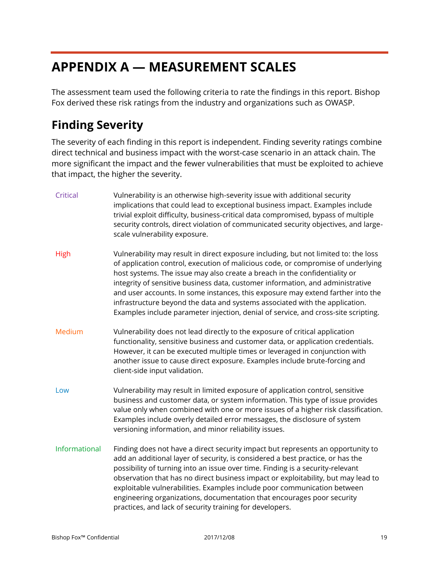# <span id="page-18-0"></span>**APPENDIX A — MEASUREMENT SCALES**

The assessment team used the following criteria to rate the findings in this report. Bishop Fox derived these risk ratings from the industry and organizations such as OWASP.

# <span id="page-18-1"></span>**Finding Severity**

The severity of each finding in this report is independent. Finding severity ratings combine direct technical and business impact with the worst-case scenario in an attack chain. The more significant the impact and the fewer vulnerabilities that must be exploited to achieve that impact, the higher the severity.

| Critical      | Vulnerability is an otherwise high-severity issue with additional security<br>implications that could lead to exceptional business impact. Examples include<br>trivial exploit difficulty, business-critical data compromised, bypass of multiple<br>security controls, direct violation of communicated security objectives, and large-<br>scale vulnerability exposure.                                                                                                                                                                                                                       |
|---------------|-------------------------------------------------------------------------------------------------------------------------------------------------------------------------------------------------------------------------------------------------------------------------------------------------------------------------------------------------------------------------------------------------------------------------------------------------------------------------------------------------------------------------------------------------------------------------------------------------|
| High          | Vulnerability may result in direct exposure including, but not limited to: the loss<br>of application control, execution of malicious code, or compromise of underlying<br>host systems. The issue may also create a breach in the confidentiality or<br>integrity of sensitive business data, customer information, and administrative<br>and user accounts. In some instances, this exposure may extend farther into the<br>infrastructure beyond the data and systems associated with the application.<br>Examples include parameter injection, denial of service, and cross-site scripting. |
| Medium        | Vulnerability does not lead directly to the exposure of critical application<br>functionality, sensitive business and customer data, or application credentials.<br>However, it can be executed multiple times or leveraged in conjunction with<br>another issue to cause direct exposure. Examples include brute-forcing and<br>client-side input validation.                                                                                                                                                                                                                                  |
| Low           | Vulnerability may result in limited exposure of application control, sensitive<br>business and customer data, or system information. This type of issue provides<br>value only when combined with one or more issues of a higher risk classification.<br>Examples include overly detailed error messages, the disclosure of system<br>versioning information, and minor reliability issues.                                                                                                                                                                                                     |
| Informational | Finding does not have a direct security impact but represents an opportunity to<br>add an additional layer of security, is considered a best practice, or has the<br>possibility of turning into an issue over time. Finding is a security-relevant<br>observation that has no direct business impact or exploitability, but may lead to<br>exploitable vulnerabilities. Examples include poor communication between<br>engineering organizations, documentation that encourages poor security<br>practices, and lack of security training for developers.                                      |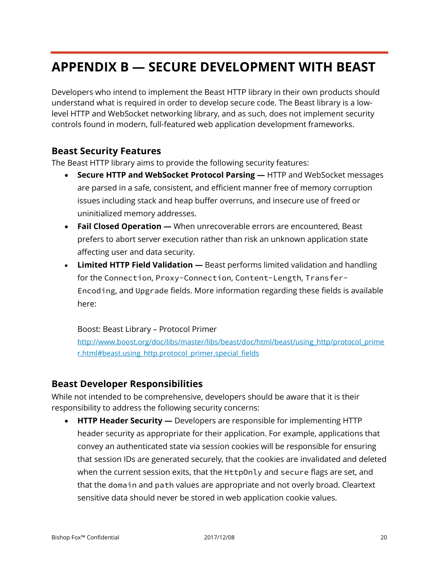# <span id="page-19-0"></span>**APPENDIX B — SECURE DEVELOPMENT WITH BEAST**

Developers who intend to implement the Beast HTTP library in their own products should understand what is required in order to develop secure code. The Beast library is a lowlevel HTTP and WebSocket networking library, and as such, does not implement security controls found in modern, full-featured web application development frameworks.

## **Beast Security Features**

The Beast HTTP library aims to provide the following security features:

- **Secure HTTP and WebSocket Protocol Parsing —** HTTP and WebSocket messages are parsed in a safe, consistent, and efficient manner free of memory corruption issues including stack and heap buffer overruns, and insecure use of freed or uninitialized memory addresses.
- Fail Closed Operation When unrecoverable errors are encountered, Beast prefers to abort server execution rather than risk an unknown application state affecting user and data security.
- **Limited HTTP Field Validation —** Beast performs limited validation and handling for the Connection, Proxy-Connection, Content-Length, Transfer-Encoding, and Upgrade fields. More information regarding these fields is available here:

Boost: Beast Library – Protocol Primer

[http://www.boost.org/doc/libs/master/libs/beast/doc/html/beast/using\\_http/protocol\\_prime](http://www.boost.org/doc/libs/master/libs/beast/doc/html/beast/using_http/protocol_primer.html#beast.using_http.protocol_primer.special_fields) [r.html#beast.using\\_http.protocol\\_primer.special\\_fields](http://www.boost.org/doc/libs/master/libs/beast/doc/html/beast/using_http/protocol_primer.html#beast.using_http.protocol_primer.special_fields)

## **Beast Developer Responsibilities**

While not intended to be comprehensive, developers should be aware that it is their responsibility to address the following security concerns:

• **HTTP Header Security —** Developers are responsible for implementing HTTP header security as appropriate for their application. For example, applications that convey an authenticated state via session cookies will be responsible for ensuring that session IDs are generated securely, that the cookies are invalidated and deleted when the current session exits, that the HttpOnly and secure flags are set, and that the domain and path values are appropriate and not overly broad. Cleartext sensitive data should never be stored in web application cookie values.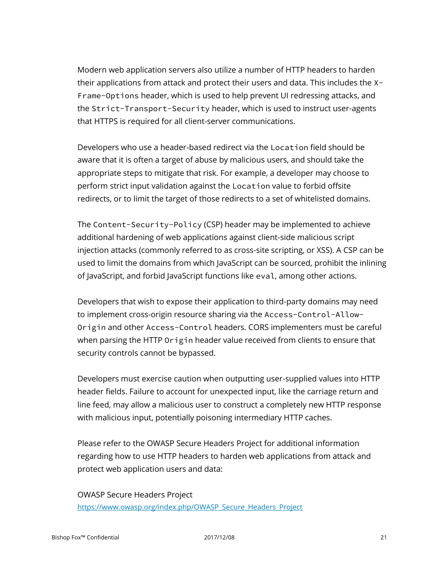Modern web application servers also utilize a number of HTTP headers to harden their applications from attack and protect their users and data. This includes the X-Frame-Options header, which is used to help prevent UI redressing attacks, and the Strict-Transport-Security header, which is used to instruct user-agents that HTTPS is required for all client-server communications.

Developers who use a header-based redirect via the Location field should be aware that it is often a target of abuse by malicious users, and should take the appropriate steps to mitigate that risk. For example, a developer may choose to perform strict input validation against the Location value to forbid offsite redirects, or to limit the target of those redirects to a set of whitelisted domains.

The Content-Security-Policy (CSP) header may be implemented to achieve additional hardening of web applications against client-side malicious script injection attacks (commonly referred to as cross-site scripting, or XSS). A CSP can be used to limit the domains from which JavaScript can be sourced, prohibit the inlining of JavaScript, and forbid JavaScript functions like eval, among other actions.

Developers that wish to expose their application to third-party domains may need to implement cross-origin resource sharing via the Access-Control-Allow-Origin and other Access-Control headers. CORS implementers must be careful when parsing the HTTP Origin header value received from clients to ensure that security controls cannot be bypassed.

Developers must exercise caution when outputting user-supplied values into HTTP header fields. Failure to account for unexpected input, like the carriage return and line feed, may allow a malicious user to construct a completely new HTTP response with malicious input, potentially poisoning intermediary HTTP caches.

Please refer to the OWASP Secure Headers Project for additional information regarding how to use HTTP headers to harden web applications from attack and protect web application users and data:

OWASP Secure Headers Project https://www.owasp.org/index.php/OWASP\_Secure\_Headers\_Project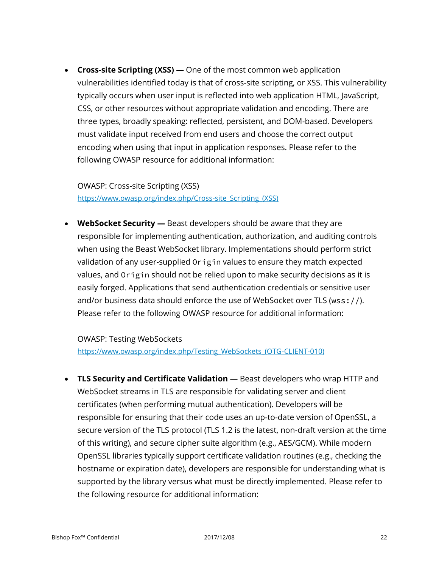• **Cross-site Scripting (XSS) —** One of the most common web application vulnerabilities identified today is that of cross-site scripting, or XSS. This vulnerability typically occurs when user input is reflected into web application HTML, JavaScript, CSS, or other resources without appropriate validation and encoding. There are three types, broadly speaking: reflected, persistent, and DOM-based. Developers must validate input received from end users and choose the correct output encoding when using that input in application responses. Please refer to the following OWASP resource for additional information:

OWASP: Cross-site Scripting (XSS) https://www.owasp.org/index.php/Cross-site\_Scripting\_(XSS)

• **WebSocket Security —** Beast developers should be aware that they are responsible for implementing authentication, authorization, and auditing controls when using the Beast WebSocket library. Implementations should perform strict validation of any user-supplied Origin values to ensure they match expected values, and Origin should not be relied upon to make security decisions as it is easily forged. Applications that send authentication credentials or sensitive user and/or business data should enforce the use of WebSocket over TLS (wss://). Please refer to the following OWASP resource for additional information:

OWASP: Testing WebSockets https://www.owasp.org/index.php/Testing\_WebSockets\_(OTG-CLIENT-010)

• **TLS Security and Certificate Validation —** Beast developers who wrap HTTP and WebSocket streams in TLS are responsible for validating server and client certificates (when performing mutual authentication). Developers will be responsible for ensuring that their code uses an up-to-date version of OpenSSL, a secure version of the TLS protocol (TLS 1.2 is the latest, non-draft version at the time of this writing), and secure cipher suite algorithm (e.g., AES/GCM). While modern OpenSSL libraries typically support certificate validation routines (e.g., checking the hostname or expiration date), developers are responsible for understanding what is supported by the library versus what must be directly implemented. Please refer to the following resource for additional information: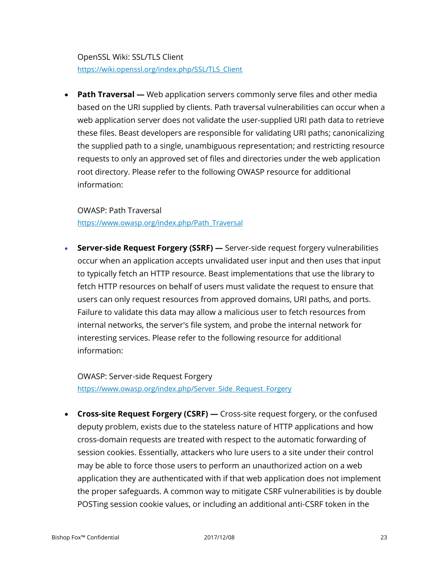OpenSSL Wiki: SSL/TLS Client https://wiki.openssl.org/index.php/SSL/TLS\_Client

• **Path Traversal** — Web application servers commonly serve files and other media based on the URI supplied by clients. Path traversal vulnerabilities can occur when a web application server does not validate the user-supplied URI path data to retrieve these files. Beast developers are responsible for validating URI paths; canonicalizing the supplied path to a single, unambiguous representation; and restricting resource requests to only an approved set of files and directories under the web application root directory. Please refer to the following OWASP resource for additional information:

OWASP: Path Traversal

https://www.owasp.org/index.php/Path\_Traversal

• **Server-side Request Forgery (SSRF) —** Server-side request forgery vulnerabilities occur when an application accepts unvalidated user input and then uses that input to typically fetch an HTTP resource. Beast implementations that use the library to fetch HTTP resources on behalf of users must validate the request to ensure that users can only request resources from approved domains, URI paths, and ports. Failure to validate this data may allow a malicious user to fetch resources from internal networks, the server's file system, and probe the internal network for interesting services. Please refer to the following resource for additional information:

OWASP: Server-side Request Forgery https://www.owasp.org/index.php/Server\_Side\_Request\_Forgery

• **Cross-site Request Forgery (CSRF) —** Cross-site request forgery, or the confused deputy problem, exists due to the stateless nature of HTTP applications and how cross-domain requests are treated with respect to the automatic forwarding of session cookies. Essentially, attackers who lure users to a site under their control may be able to force those users to perform an unauthorized action on a web application they are authenticated with if that web application does not implement the proper safeguards. A common way to mitigate CSRF vulnerabilities is by double POSTing session cookie values, or including an additional anti-CSRF token in the